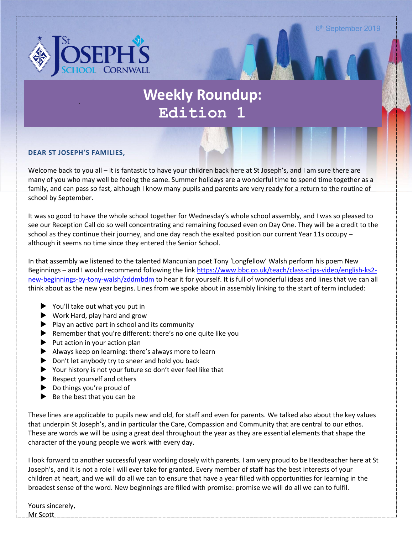

# **Weekly Roundup: Edition 1**

#### **DEAR ST JOSEPH'S FAMILIES,**

Welcome back to you all – it is fantastic to have your children back here at St Joseph's, and I am sure there are many of you who may well be feeing the same. Summer holidays are a wonderful time to spend time together as a family, and can pass so fast, although I know many pupils and parents are very ready for a return to the routine of school by September.

It was so good to have the whole school together for Wednesday's whole school assembly, and I was so pleased to see our Reception Call do so well concentrating and remaining focused even on Day One. They will be a credit to the school as they continue their journey, and one day reach the exalted position our current Year 11s occupy – although it seems no time since they entered the Senior School.

In that assembly we listened to the talented Mancunian poet Tony 'Longfellow' Walsh perform his poem New Beginnings – and I would recommend following the link [https://www.bbc.co.uk/teach/class-clips-video/english-ks2](https://www.bbc.co.uk/teach/class-clips-video/english-ks2-new-beginnings-by-tony-walsh/zddmbdm) [new-beginnings-by-tony-walsh/zddmbdm](https://www.bbc.co.uk/teach/class-clips-video/english-ks2-new-beginnings-by-tony-walsh/zddmbdm) to hear it for yourself. It is full of wonderful ideas and lines that we can all think about as the new year begins. Lines from we spoke about in assembly linking to the start of term included:

- You'll take out what you put in
- ▶ Work Hard, play hard and grow
- $\blacktriangleright$  Play an active part in school and its community
- Remember that you're different: there's no one quite like you
- $\blacktriangleright$  Put action in your action plan
- Always keep on learning: there's always more to learn
- $\triangleright$  Don't let anybody try to sneer and hold you back
- Your history is not your future so don't ever feel like that
- $\blacktriangleright$  Respect yourself and others
- ▶ Do things you're proud of
- $\blacktriangleright$  Be the best that you can be

These lines are applicable to pupils new and old, for staff and even for parents. We talked also about the key values that underpin St Joseph's, and in particular the Care, Compassion and Community that are central to our ethos. These are words we will be using a great deal throughout the year as they are essential elements that shape the character of the young people we work with every day.

I look forward to another successful year working closely with parents. I am very proud to be Headteacher here at St Joseph's, and it is not a role I will ever take for granted. Every member of staff has the best interests of your children at heart, and we will do all we can to ensure that have a year filled with opportunities for learning in the broadest sense of the word. New beginnings are filled with promise: promise we will do all we can to fulfil.

Yours sincerely, Mr Scott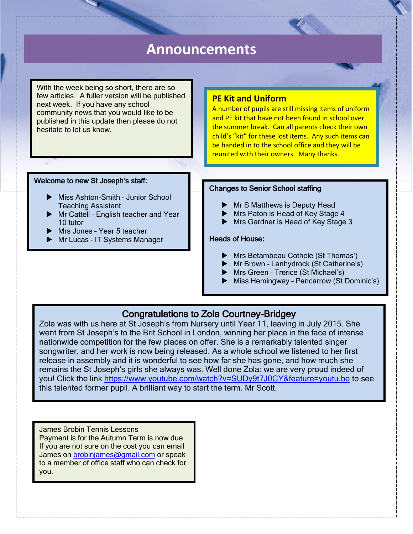## **Announcements**

With the week being so short, there are so few articles. A fuller version will be published next week. If you have any school community news that you would like to be published in this update then please do not hesitate to let us know.

#### **PE Kit and Uniform**

A number of pupils are still missing items of uniform and PE kit that have not been found in school over the summer break. Can all parents check their own child's "kit" for these lost items. Any such items can be handed in to the school office and they will be reunited with their owners. Many thanks.

#### Welcome to new St Joseph's staff:

- ▶ Miss Ashton-Smith Junior School Teaching Assistant
- Mr Cattell English teacher and Year 10 tutor
- Mrs Jones Year 5 teacher

ı

**Mr Lucas - IT Systems Manager** 

#### Changes to Senior School staffing

- **Mr S Matthews is Deputy Head**
- Mrs Paton is Head of Key Stage 4
- Mrs Gardner is Head of Key Stage 3

#### Heads of House:

- **Mrs Betambeau Cothele (St Thomas')**
- Mr Brown Lanhydrock (St Catherine's)
- **Mrs Green Trerice (St Michael's)**
- ▶ Miss Hemingway Pencarrow (St Dominic's)

### Congratulations to Zola Courtney-Bridgey

Zola was with us here at St Joseph's from Nursery until Year 11, leaving in July 2015. She went from St Joseph's to the Brit School in London, winning her place in the face of intense nationwide competition for the few places on offer. She is a remarkably talented singer songwriter, and her work is now being released. As a whole school we listened to her first release in assembly and it is wonderful to see how far she has gone, and how much she remains the St Joseph's girls she always was. Well done Zola: we are very proud indeed of you! Click the link<https://www.youtube.com/watch?v=SUDy9t7J0CY&feature=youtu.be> to see this talented former pupil. A brilliant way to start the term. Mr Scott. 

James Brobin Tennis Lessons Payment is for the Autumn Term is now due. If you are not sure on the cost you can email James on [brobinjames@gmail.com](mailto:brobinjames@gmail.com) or speak to a member of office staff who can check for you.